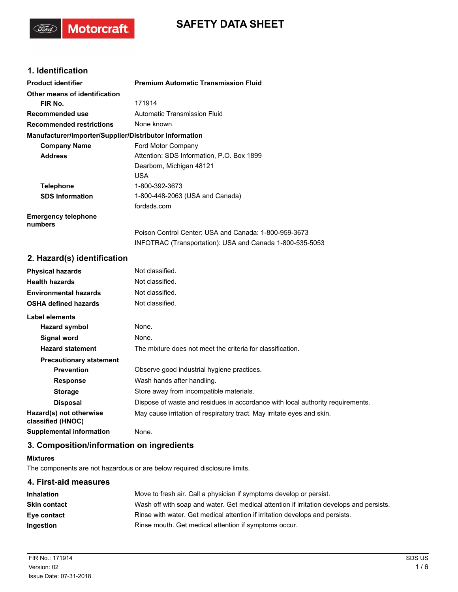# **SAFETY DATA SHEET**

# **1. Identification**

('Gord')

**Motorcraft** 

| <b>Product identifier</b>                              | <b>Premium Automatic Transmission Fluid</b>              |
|--------------------------------------------------------|----------------------------------------------------------|
| Other means of identification                          |                                                          |
| FIR No.                                                | 171914                                                   |
| Recommended use                                        | Automatic Transmission Fluid                             |
| <b>Recommended restrictions</b>                        | None known.                                              |
| Manufacturer/Importer/Supplier/Distributor information |                                                          |
| <b>Company Name</b>                                    | Ford Motor Company                                       |
| <b>Address</b>                                         | Attention: SDS Information, P.O. Box 1899                |
|                                                        | Dearborn, Michigan 48121                                 |
|                                                        | <b>USA</b>                                               |
| <b>Telephone</b>                                       | 1-800-392-3673                                           |
| <b>SDS Information</b>                                 | 1-800-448-2063 (USA and Canada)                          |
|                                                        | fordsds.com                                              |
| <b>Emergency telephone</b><br>numbers                  |                                                          |
|                                                        | Poison Control Center: USA and Canada: 1-800-959-3673    |
|                                                        | INFOTRAC (Transportation): USA and Canada 1-800-535-5053 |

### **2. Hazard(s) identification**

| <b>Physical hazards</b>                      | Not classified.                                                                |
|----------------------------------------------|--------------------------------------------------------------------------------|
| <b>Health hazards</b>                        | Not classified.                                                                |
| <b>Environmental hazards</b>                 | Not classified.                                                                |
| <b>OSHA defined hazards</b>                  | Not classified.                                                                |
| Label elements                               |                                                                                |
| Hazard symbol                                | None.                                                                          |
| Signal word                                  | None.                                                                          |
| <b>Hazard statement</b>                      | The mixture does not meet the criteria for classification.                     |
| <b>Precautionary statement</b>               |                                                                                |
| <b>Prevention</b>                            | Observe good industrial hygiene practices.                                     |
| <b>Response</b>                              | Wash hands after handling.                                                     |
| <b>Storage</b>                               | Store away from incompatible materials.                                        |
| <b>Disposal</b>                              | Dispose of waste and residues in accordance with local authority requirements. |
| Hazard(s) not otherwise<br>classified (HNOC) | May cause irritation of respiratory tract. May irritate eyes and skin.         |
| <b>Supplemental information</b>              | None.                                                                          |

# **3. Composition/information on ingredients**

#### **Mixtures**

The components are not hazardous or are below required disclosure limits.

# **4. First-aid measures Inhalation** Move to fresh air. Call a physician if symptoms develop or persist. **Skin contact** Wash off with soap and water. Get medical attention if irritation develops and persists.

**Eye contact** Rinse with water. Get medical attention if irritation develops and persists. **Ingestion Rinse mouth. Get medical attention if symptoms occur.**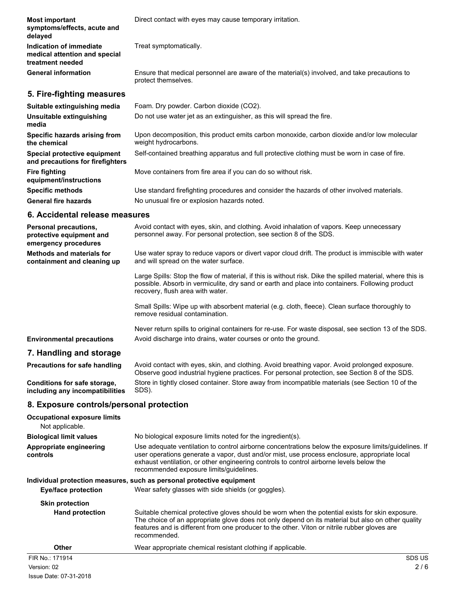| <b>Most important</b><br>symptoms/effects, acute and<br>delayed              | Direct contact with eyes may cause temporary irritation.                                                            |
|------------------------------------------------------------------------------|---------------------------------------------------------------------------------------------------------------------|
| Indication of immediate<br>medical attention and special<br>treatment needed | Treat symptomatically.                                                                                              |
| <b>General information</b>                                                   | Ensure that medical personnel are aware of the material(s) involved, and take precautions to<br>protect themselves. |
| 5. Fire-fighting measures                                                    |                                                                                                                     |
| Suitable extinguishing media                                                 | Foam. Dry powder. Carbon dioxide (CO2).                                                                             |
| Unsuitable extinguishing<br>media                                            | Do not use water jet as an extinguisher, as this will spread the fire.                                              |
| Specific hazards arising from<br>the chemical                                | Upon decomposition, this product emits carbon monoxide, carbon dioxide and/or low molecular<br>weight hydrocarbons. |
| Special protective equipment<br>and precautions for firefighters             | Self-contained breathing apparatus and full protective clothing must be worn in case of fire.                       |
| <b>Fire fighting</b><br>equipment/instructions                               | Move containers from fire area if you can do so without risk.                                                       |
| <b>Specific methods</b>                                                      | Use standard firefighting procedures and consider the hazards of other involved materials.                          |
| <b>General fire hazards</b>                                                  | No unusual fire or explosion hazards noted.                                                                         |

#### **6. Accidental release measures**

| <b>Personal precautions.</b><br>protective equipment and<br>emergency procedures | Avoid contact with eyes, skin, and clothing. Avoid inhalation of vapors. Keep unnecessary<br>personnel away. For personal protection, see section 8 of the SDS.                                                                                   |
|----------------------------------------------------------------------------------|---------------------------------------------------------------------------------------------------------------------------------------------------------------------------------------------------------------------------------------------------|
| <b>Methods and materials for</b><br>containment and cleaning up                  | Use water spray to reduce vapors or divert vapor cloud drift. The product is immiscible with water<br>and will spread on the water surface.                                                                                                       |
|                                                                                  | Large Spills: Stop the flow of material, if this is without risk. Dike the spilled material, where this is<br>possible. Absorb in vermiculite, dry sand or earth and place into containers. Following product<br>recovery, flush area with water. |
|                                                                                  | Small Spills: Wipe up with absorbent material (e.g. cloth, fleece). Clean surface thoroughly to<br>remove residual contamination.                                                                                                                 |
|                                                                                  | Never return spills to original containers for re-use. For waste disposal, see section 13 of the SDS.                                                                                                                                             |
| <b>Environmental precautions</b>                                                 | Avoid discharge into drains, water courses or onto the ground.                                                                                                                                                                                    |
| 7. Handling and storage                                                          |                                                                                                                                                                                                                                                   |

Avoid contact with eyes, skin, and clothing. Avoid breathing vapor. Avoid prolonged exposure. Observe good industrial hygiene practices. For personal protection, see Section 8 of the SDS. **Precautions for safe handling** Store in tightly closed container. Store away from incompatible materials (see Section 10 of the SDS). **Conditions for safe storage, including any incompatibilities**

## **8. Exposure controls/personal protection**

| <b>Occupational exposure limits</b><br>Not applicable. |                                                                                                                                                                                                                                                                                                                                            |
|--------------------------------------------------------|--------------------------------------------------------------------------------------------------------------------------------------------------------------------------------------------------------------------------------------------------------------------------------------------------------------------------------------------|
| <b>Biological limit values</b>                         | No biological exposure limits noted for the ingredient(s).                                                                                                                                                                                                                                                                                 |
| Appropriate engineering<br>controls                    | Use adequate ventilation to control airborne concentrations below the exposure limits/guidelines. If<br>user operations generate a vapor, dust and/or mist, use process enclosure, appropriate local<br>exhaust ventilation, or other engineering controls to control airborne levels below the<br>recommended exposure limits/guidelines. |
|                                                        | Individual protection measures, such as personal protective equipment                                                                                                                                                                                                                                                                      |
| <b>Eye/face protection</b>                             | Wear safety glasses with side shields (or goggles).                                                                                                                                                                                                                                                                                        |
| <b>Skin protection</b>                                 |                                                                                                                                                                                                                                                                                                                                            |
| <b>Hand protection</b>                                 | Suitable chemical protective gloves should be worn when the potential exists for skin exposure.<br>The choice of an appropriate glove does not only depend on its material but also on other quality<br>features and is different from one producer to the other. Viton or nitrile rubber gloves are<br>recommended.                       |
| Other                                                  | Wear appropriate chemical resistant clothing if applicable.                                                                                                                                                                                                                                                                                |
| FIR No: 171914                                         | SDS US                                                                                                                                                                                                                                                                                                                                     |
| Version: 02                                            | 2/6                                                                                                                                                                                                                                                                                                                                        |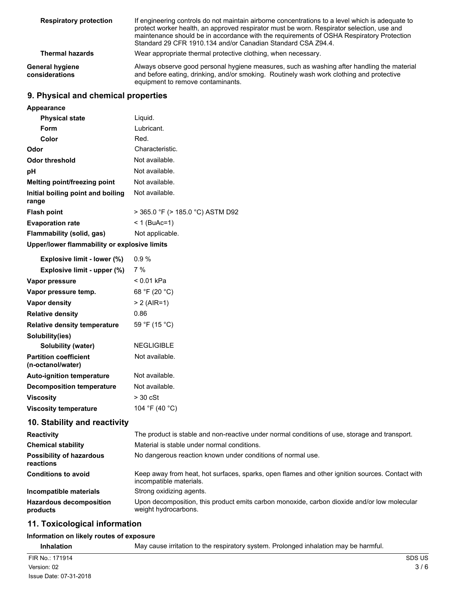| <b>Respiratory protection</b>     | If engineering controls do not maintain airborne concentrations to a level which is adequate to<br>protect worker health, an approved respirator must be worn. Respirator selection, use and<br>maintenance should be in accordance with the requirements of OSHA Respiratory Protection<br>Standard 29 CFR 1910.134 and/or Canadian Standard CSA Z94.4. |
|-----------------------------------|----------------------------------------------------------------------------------------------------------------------------------------------------------------------------------------------------------------------------------------------------------------------------------------------------------------------------------------------------------|
| <b>Thermal hazards</b>            | Wear appropriate thermal protective clothing, when necessary.                                                                                                                                                                                                                                                                                            |
| General hygiene<br>considerations | Always observe good personal hygiene measures, such as washing after handling the material<br>and before eating, drinking, and/or smoking. Routinely wash work clothing and protective<br>equipment to remove contaminants.                                                                                                                              |

# **9. Physical and chemical properties**

| Appearance                                   |                                  |
|----------------------------------------------|----------------------------------|
| <b>Physical state</b>                        | Liquid.                          |
| Form                                         | Lubricant.                       |
| Color                                        | Red.                             |
| Odor                                         | Characteristic.                  |
| Odor threshold                               | Not available.                   |
| рH                                           | Not available.                   |
| <b>Melting point/freezing point</b>          | Not available.                   |
| Initial boiling point and boiling<br>range   | Not available.                   |
| <b>Flash point</b>                           | > 365.0 °F (> 185.0 °C) ASTM D92 |
| <b>Evaporation rate</b>                      | < 1 (BuAc=1)                     |
| Flammability (solid, gas)                    | Not applicable.                  |
| Upper/lower flammability or explosive limits |                                  |

| Explosive limit - lower (%)                       | 0.9%                                                                                                                       |
|---------------------------------------------------|----------------------------------------------------------------------------------------------------------------------------|
| Explosive limit - upper (%)                       | 7%                                                                                                                         |
| Vapor pressure                                    | $< 0.01$ kPa                                                                                                               |
| Vapor pressure temp.                              | 68 °F (20 °C)                                                                                                              |
| <b>Vapor density</b>                              | $> 2$ (AIR=1)                                                                                                              |
| <b>Relative density</b>                           | 0.86                                                                                                                       |
| <b>Relative density temperature</b>               | 59 °F (15 °C)                                                                                                              |
| Solubility(ies)                                   |                                                                                                                            |
| <b>Solubility (water)</b>                         | <b>NEGLIGIBLE</b>                                                                                                          |
| <b>Partition coefficient</b><br>(n-octanol/water) | Not available.                                                                                                             |
| <b>Auto-ignition temperature</b>                  | Not available.                                                                                                             |
| <b>Decomposition temperature</b>                  | Not available.                                                                                                             |
| <b>Viscosity</b>                                  | $>$ 30 cSt                                                                                                                 |
| <b>Viscosity temperature</b>                      | 104 °F (40 °C)                                                                                                             |
| 10. Stability and reactivity                      |                                                                                                                            |
| <b>Reactivity</b>                                 | The product is stable and non-reactive under normal conditions of use, storage and transport.                              |
| <b>Chemical stability</b>                         | Material is stable under normal conditions.                                                                                |
| <b>Possibility of hazardous</b><br>reactions      | No dangerous reaction known under conditions of normal use.                                                                |
| <b>Conditions to avoid</b>                        | Keep away from heat, hot surfaces, sparks, open flames and other ignition sources. Contact with<br>incompatible materials. |
| Incompatible materials                            | Strong oxidizing agents.                                                                                                   |
| <b>Hazardous decomposition</b><br>products        | Upon decomposition, this product emits carbon monoxide, carbon dioxide and/or low molecular<br>weight hydrocarbons.        |
| 11 Toxicological information                      |                                                                                                                            |

# **11. Toxicological information**

## **Information on likely routes of exposure**

**Inhalation** May cause irritation to the respiratory system. Prolonged inhalation may be harmful.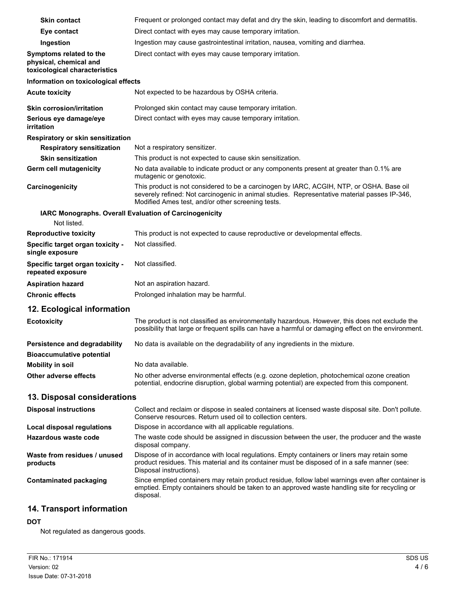| <b>Skin contact</b>                                                                | Frequent or prolonged contact may defat and dry the skin, leading to discomfort and dermatitis.                                                                                                                                               |
|------------------------------------------------------------------------------------|-----------------------------------------------------------------------------------------------------------------------------------------------------------------------------------------------------------------------------------------------|
| Eye contact                                                                        | Direct contact with eyes may cause temporary irritation.                                                                                                                                                                                      |
| Ingestion                                                                          | Ingestion may cause gastrointestinal irritation, nausea, vomiting and diarrhea.                                                                                                                                                               |
| Symptoms related to the<br>physical, chemical and<br>toxicological characteristics | Direct contact with eyes may cause temporary irritation.                                                                                                                                                                                      |
| Information on toxicological effects                                               |                                                                                                                                                                                                                                               |
| <b>Acute toxicity</b>                                                              | Not expected to be hazardous by OSHA criteria.                                                                                                                                                                                                |
| <b>Skin corrosion/irritation</b>                                                   | Prolonged skin contact may cause temporary irritation.                                                                                                                                                                                        |
| Serious eye damage/eye<br>irritation                                               | Direct contact with eyes may cause temporary irritation.                                                                                                                                                                                      |
| Respiratory or skin sensitization                                                  |                                                                                                                                                                                                                                               |
| <b>Respiratory sensitization</b>                                                   | Not a respiratory sensitizer.                                                                                                                                                                                                                 |
| <b>Skin sensitization</b>                                                          | This product is not expected to cause skin sensitization.                                                                                                                                                                                     |
| <b>Germ cell mutagenicity</b>                                                      | No data available to indicate product or any components present at greater than 0.1% are<br>mutagenic or genotoxic.                                                                                                                           |
| Carcinogenicity                                                                    | This product is not considered to be a carcinogen by IARC, ACGIH, NTP, or OSHA. Base oil<br>severely refined: Not carcinogenic in animal studies. Representative material passes IP-346,<br>Modified Ames test, and/or other screening tests. |
|                                                                                    | IARC Monographs. Overall Evaluation of Carcinogenicity                                                                                                                                                                                        |
| Not listed.                                                                        |                                                                                                                                                                                                                                               |
| <b>Reproductive toxicity</b>                                                       | This product is not expected to cause reproductive or developmental effects.                                                                                                                                                                  |
| Specific target organ toxicity -<br>single exposure                                | Not classified.                                                                                                                                                                                                                               |
| Specific target organ toxicity -<br>repeated exposure                              | Not classified.                                                                                                                                                                                                                               |
| <b>Aspiration hazard</b>                                                           | Not an aspiration hazard.                                                                                                                                                                                                                     |
| <b>Chronic effects</b>                                                             | Prolonged inhalation may be harmful.                                                                                                                                                                                                          |
| 12. Ecological information                                                         |                                                                                                                                                                                                                                               |
| <b>Ecotoxicity</b>                                                                 | The product is not classified as environmentally hazardous. However, this does not exclude the<br>possibility that large or frequent spills can have a harmful or damaging effect on the environment.                                         |
| Persistence and degradability<br><b>Bioaccumulative potential</b>                  | No data is available on the degradability of any ingredients in the mixture.                                                                                                                                                                  |
| <b>Mobility in soil</b>                                                            | No data available.                                                                                                                                                                                                                            |
| Other adverse effects                                                              | No other adverse environmental effects (e.g. ozone depletion, photochemical ozone creation<br>potential, endocrine disruption, global warming potential) are expected from this component.                                                    |
| 13. Disposal considerations                                                        |                                                                                                                                                                                                                                               |
| <b>Disposal instructions</b>                                                       | Collect and reclaim or dispose in sealed containers at licensed waste disposal site. Don't pollute.<br>Conserve resources. Return used oil to collection centers.                                                                             |
| <b>Local disposal regulations</b>                                                  | Dispose in accordance with all applicable regulations.                                                                                                                                                                                        |
| Hazardous waste code                                                               | The waste code should be assigned in discussion between the user, the producer and the waste<br>disposal company.                                                                                                                             |
| Waste from residues / unused<br>products                                           | Dispose of in accordance with local regulations. Empty containers or liners may retain some<br>product residues. This material and its container must be disposed of in a safe manner (see:<br>Disposal instructions).                        |
| <b>Contaminated packaging</b>                                                      | Since emptied containers may retain product residue, follow label warnings even after container is<br>emptied. Empty containers should be taken to an approved waste handling site for recycling or<br>disposal.                              |
|                                                                                    |                                                                                                                                                                                                                                               |

# **14. Transport information**

## **DOT**

Not regulated as dangerous goods.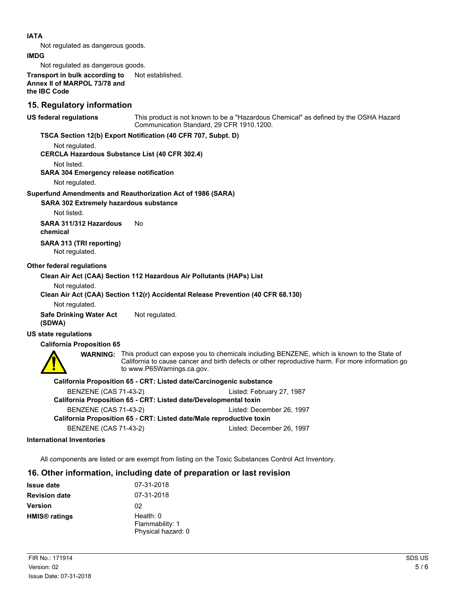#### **IATA**

Not regulated as dangerous goods.

#### **IMDG**

Not regulated as dangerous goods.

**Transport in bulk according to** Not established. **Annex II of MARPOL 73/78 and the IBC Code**

### **15. Regulatory information**

**US federal regulations**

This product is not known to be a "Hazardous Chemical" as defined by the OSHA Hazard Communication Standard, 29 CFR 1910.1200.

#### **TSCA Section 12(b) Export Notification (40 CFR 707, Subpt. D)**

Not regulated.

**CERCLA Hazardous Substance List (40 CFR 302.4)**

Not listed.

**SARA 304 Emergency release notification**

Not regulated.

#### **Superfund Amendments and Reauthorization Act of 1986 (SARA)**

#### **SARA 302 Extremely hazardous substance**

Not listed.

**SARA 311/312 Hazardous** No **chemical**

**SARA 313 (TRI reporting)** Not regulated.

#### **Other federal regulations**

#### **Clean Air Act (CAA) Section 112 Hazardous Air Pollutants (HAPs) List**

Not regulated.

**Clean Air Act (CAA) Section 112(r) Accidental Release Prevention (40 CFR 68.130)**

Not regulated.

**Safe Drinking Water Act** Not regulated. **(SDWA)**

#### **US state regulations**

**California Proposition 65**



**WARNING:** This product can expose you to chemicals including BENZENE, which is known to the State of California to cause cancer and birth defects or other reproductive harm. For more information go to www.P65Warnings.ca.gov.

#### **California Proposition 65 - CRT: Listed date/Carcinogenic substance**

BENZENE (CAS 71-43-2) Listed: February 27, 1987 **California Proposition 65 - CRT: Listed date/Developmental toxin** BENZENE (CAS 71-43-2) Listed: December 26, 1997 **California Proposition 65 - CRT: Listed date/Male reproductive toxin** BENZENE (CAS 71-43-2) Listed: December 26, 1997

#### **International Inventories**

All components are listed or are exempt from listing on the Toxic Substances Control Act Inventory.

## **16. Other information, including date of preparation or last revision**

| <b>Issue date</b>               | 07-31-2018                                           |
|---------------------------------|------------------------------------------------------|
| <b>Revision date</b>            | 07-31-2018                                           |
| <b>Version</b>                  | 02                                                   |
| <b>HMIS<sup>®</sup></b> ratings | Health: $0$<br>Flammability: 1<br>Physical hazard: 0 |